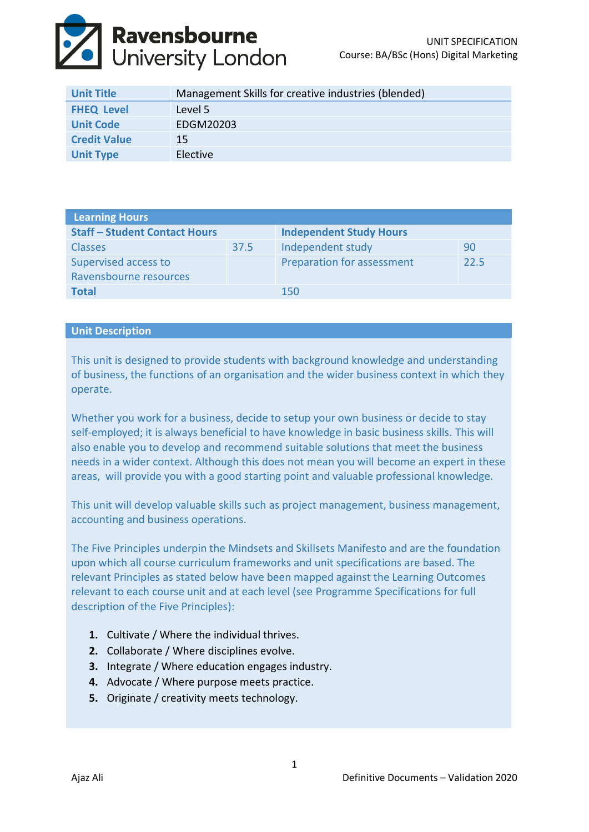

| <b>Unit Title</b>   | Management Skills for creative industries (blended) |
|---------------------|-----------------------------------------------------|
| <b>FHEQ Level</b>   | Level 5                                             |
| <b>Unit Code</b>    | EDGM20203                                           |
| <b>Credit Value</b> | 15                                                  |
| <b>Unit Type</b>    | Elective                                            |

| <b>Learning Hours</b>                |      |                                |      |  |  |
|--------------------------------------|------|--------------------------------|------|--|--|
| <b>Staff - Student Contact Hours</b> |      | <b>Independent Study Hours</b> |      |  |  |
| <b>Classes</b>                       | 37.5 | Independent study              | 90   |  |  |
| Supervised access to                 |      | Preparation for assessment     | 22.5 |  |  |
| Ravensbourne resources               |      |                                |      |  |  |
| <b>Total</b>                         |      | 150                            |      |  |  |

# **Unit Description**

This unit is designed to provide students with background knowledge and understanding of business, the functions of an organisation and the wider business context in which they operate.

Whether you work for a business, decide to setup your own business or decide to stay self-employed; it is always beneficial to have knowledge in basic business skills. This will also enable you to develop and recommend suitable solutions that meet the business needs in a wider context. Although this does not mean you will become an expert in these areas, will provide you with a good starting point and valuable professional knowledge.

This unit will develop valuable skills such as project management, business management, accounting and business operations.

The Five Principles underpin the Mindsets and Skillsets Manifesto and are the foundation upon which all course curriculum frameworks and unit specifications are based. The relevant Principles as stated below have been mapped against the Learning Outcomes relevant to each course unit and at each level (see Programme Specifications for full description of the Five Principles):

- **1.** Cultivate / Where the individual thrives.
- **2.** Collaborate / Where disciplines evolve.
- **3.** Integrate / Where education engages industry.
- **4.** Advocate / Where purpose meets practice.
- **5.** Originate / creativity meets technology.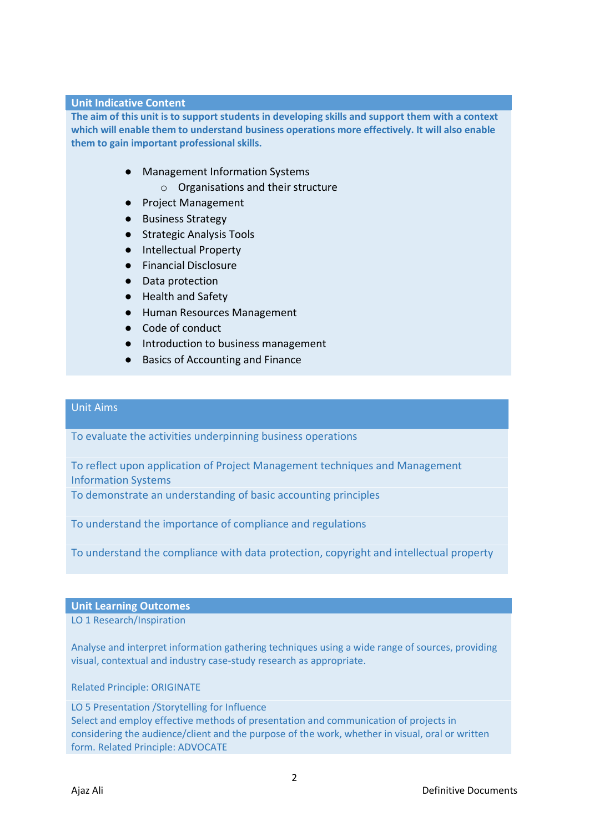#### **Unit Indicative Content**

**The aim of this unit is to support students in developing skills and support them with a context which will enable them to understand business operations more effectively. It will also enable them to gain important professional skills.** 

- Management Information Systems
	- o Organisations and their structure
- Project Management
- Business Strategy
- Strategic Analysis Tools
- Intellectual Property
- Financial Disclosure
- Data protection
- Health and Safety
- Human Resources Management
- Code of conduct
- Introduction to business management
- Basics of Accounting and Finance

### Unit Aims

To evaluate the activities underpinning business operations

To reflect upon application of Project Management techniques and Management Information Systems

To demonstrate an understanding of basic accounting principles

To understand the importance of compliance and regulations

To understand the compliance with data protection, copyright and intellectual property

**Unit Learning Outcomes**

LO 1 Research/Inspiration

Analyse and interpret information gathering techniques using a wide range of sources, providing visual, contextual and industry case-study research as appropriate.

Related Principle: ORIGINATE

LO 5 Presentation /Storytelling for Influence Select and employ effective methods of presentation and communication of projects in considering the audience/client and the purpose of the work, whether in visual, oral or written form. Related Principle: ADVOCATE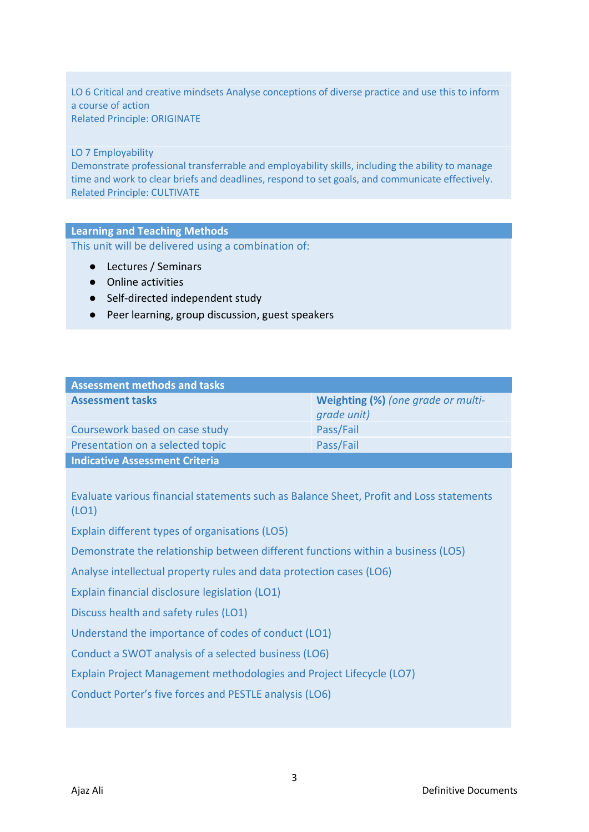LO 6 Critical and creative mindsets Analyse conceptions of diverse practice and use this to inform a course of action Related Principle: ORIGINATE

### LO 7 Employability

Demonstrate professional transferrable and employability skills, including the ability to manage time and work to clear briefs and deadlines, respond to set goals, and communicate effectively. Related Principle: CULTIVATE

### **Learning and Teaching Methods**

This unit will be delivered using a combination of:

- Lectures / Seminars
- Online activities
- Self-directed independent study
- Peer learning, group discussion, guest speakers

| <b>Assessment methods and tasks</b> |                                                   |
|-------------------------------------|---------------------------------------------------|
| <b>Assessment tasks</b>             | Weighting (%) (one grade or multi-<br>grade unit) |
| Coursework based on case study      | Pass/Fail                                         |
| Presentation on a selected topic    | Pass/Fail                                         |
| Indicative Assessment Criteria      |                                                   |

Evaluate various financial statements such as Balance Sheet, Profit and Loss statements (LO1)

Explain different types of organisations (LO5)

Demonstrate the relationship between different functions within a business (LO5)

Analyse intellectual property rules and data protection cases (LO6)

Explain financial disclosure legislation (LO1)

Discuss health and safety rules (LO1)

Understand the importance of codes of conduct (LO1)

Conduct a SWOT analysis of a selected business (LO6)

Explain Project Management methodologies and Project Lifecycle (LO7)

Conduct Porter's five forces and PESTLE analysis (LO6)